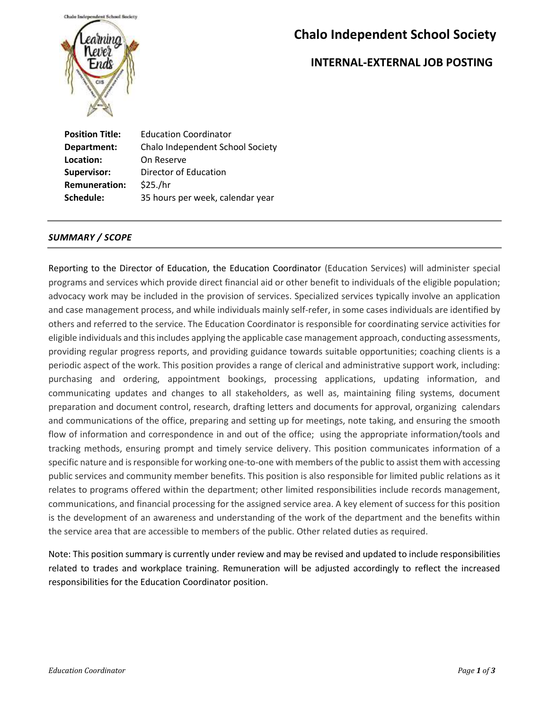

# **Chalo Independent School Society**

### **INTERNAL-EXTERNAL JOB POSTING**

**Position Title:** Education Coordinator **Department:** Chalo Independent School Society **Location:** On Reserve **Supervisor:** Director of Education **Remuneration:** \$25./hr **Schedule:** 35 hours per week, calendar year

#### *SUMMARY / SCOPE*

Reporting to the Director of Education, the Education Coordinator (Education Services) will administer special programs and services which provide direct financial aid or other benefit to individuals of the eligible population; advocacy work may be included in the provision of services. Specialized services typically involve an application and case management process, and while individuals mainly self-refer, in some cases individuals are identified by others and referred to the service. The Education Coordinator is responsible for coordinating service activities for eligible individuals and this includes applying the applicable case management approach, conducting assessments, providing regular progress reports, and providing guidance towards suitable opportunities; coaching clients is a periodic aspect of the work. This position provides a range of clerical and administrative support work, including: purchasing and ordering, appointment bookings, processing applications, updating information, and communicating updates and changes to all stakeholders, as well as, maintaining filing systems, document preparation and document control, research, drafting letters and documents for approval, organizing calendars and communications of the office, preparing and setting up for meetings, note taking, and ensuring the smooth flow of information and correspondence in and out of the office; using the appropriate information/tools and tracking methods, ensuring prompt and timely service delivery. This position communicates information of a specific nature and is responsible for working one-to-one with members of the public to assist them with accessing public services and community member benefits. This position is also responsible for limited public relations as it relates to programs offered within the department; other limited responsibilities include records management, communications, and financial processing for the assigned service area. A key element of success for this position is the development of an awareness and understanding of the work of the department and the benefits within the service area that are accessible to members of the public. Other related duties as required.

Note: This position summary is currently under review and may be revised and updated to include responsibilities related to trades and workplace training. Remuneration will be adjusted accordingly to reflect the increased responsibilities for the Education Coordinator position.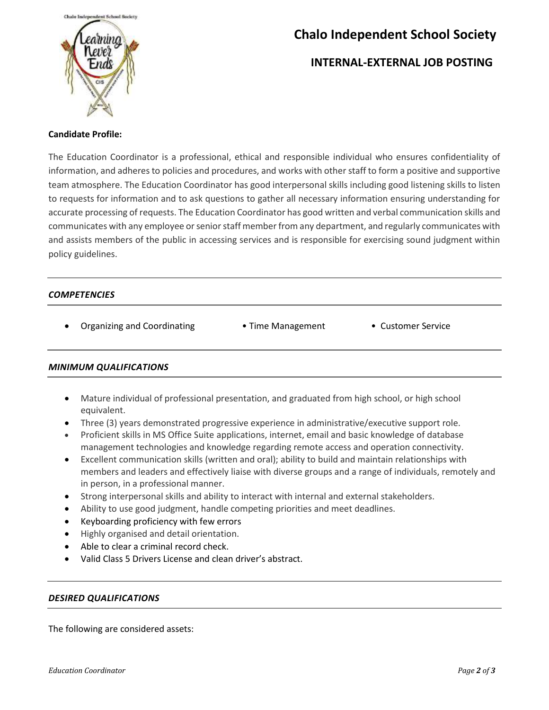

# **Chalo Independent School Society**

### **INTERNAL-EXTERNAL JOB POSTING**

#### **Candidate Profile:**

The Education Coordinator is a professional, ethical and responsible individual who ensures confidentiality of information, and adheres to policies and procedures, and works with other staff to form a positive and supportive team atmosphere. The Education Coordinator has good interpersonal skills including good listening skills to listen to requests for information and to ask questions to gather all necessary information ensuring understanding for accurate processing of requests. The Education Coordinator has good written and verbal communication skills and communicates with any employee or senior staff member from any department, and regularly communicates with and assists members of the public in accessing services and is responsible for exercising sound judgment within policy guidelines.

#### *COMPETENCIES*

- Organizing and Coordinating Time Management Customer Service
	-
- 

#### *MINIMUM QUALIFICATIONS*

- Mature individual of professional presentation, and graduated from high school, or high school equivalent.
- Three (3) years demonstrated progressive experience in administrative/executive support role.
- Proficient skills in MS Office Suite applications, internet, email and basic knowledge of database management technologies and knowledge regarding remote access and operation connectivity.
- Excellent communication skills (written and oral); ability to build and maintain relationships with members and leaders and effectively liaise with diverse groups and a range of individuals, remotely and in person, in a professional manner.
- Strong interpersonal skills and ability to interact with internal and external stakeholders.
- Ability to use good judgment, handle competing priorities and meet deadlines.
- Keyboarding proficiency with few errors
- Highly organised and detail orientation.
- Able to clear a criminal record check.
- Valid Class 5 Drivers License and clean driver's abstract.

#### *DESIRED QUALIFICATIONS*

The following are considered assets: